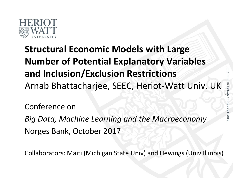

#### **Structural Economic Models with Large Number of Potential Explanatory Variables and Inclusion/Exclusion Restrictions** Arnab Bhattacharjee, SEEC, Heriot-Watt Univ, UK

Conference on

*Big Data, Machine Learning and the Macroeconomy* Norges Bank, October 2017

Collaborators: Maiti (Michigan State Univ) and Hewings (Univ Illinois)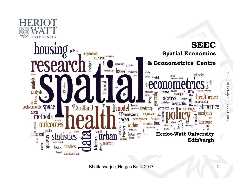

Bhattacharjee, Norges Bank 2017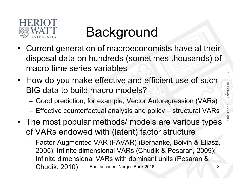

#### Background

- Current generation of macroeconomists have at their disposal data on hundreds (sometimes thousands) of macro time series variables
- How do you make effective and efficient use of such BIG data to build macro models?
	- Good prediction, for example, Vector Autoregression (VARs)
	- Effective counterfactual analysis and policy structural VARs
- The most popular methods/ models are various types of VARs endowed with (latent) factor structure
	- Factor-Augmented VAR (FAVAR) (Bernanke, Boivin & Eliasz, 2005); Infinite dimensional VARs (Chudik & Pesaran, 2009); Infinite dimensional VARs with dominant units (Pesaran & Chudik, 2010) Bhattacharjee, Norges Bank 2016 3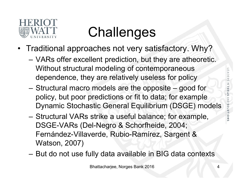

#### **Challenges**

- Traditional approaches not very satisfactory. Why?
	- VARs offer excellent prediction, but they are atheoretic. Without structural modeling of contemporaneous dependence, they are relatively useless for policy
	- Structural macro models are the opposite good for policy, but poor predictions or fit to data; for example Dynamic Stochastic General Equilibrium (DSGE) models
	- Structural VARs strike a useful balance; for example, DSGE-VARs (Del-Negro & Schorfheide, 2004; Fernández-Villaverde, Rubio-Ramírez, Sargent & Watson, 2007)
	- But do not use fully data available in BIG data contexts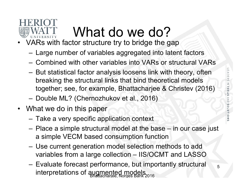

### What do we do?

- VARs with factor structure try to bridge the gap
	- Large number of variables aggregated into latent factors
	- Combined with other variables into VARs or structural VARs
	- But statistical factor analysis loosens link with theory, often breaking the structural links that bind theoretical models together; see, for example, Bhattacharjee & Christev (2016)
	- Double ML? (Chernozhukov et al., 2016)
- What we do in this paper
	- Take a very specific application context
	- Place a simple structural model at the base in our case just a simple VECM based consumption function
	- Use current generation model selection methods to add variables from a large collection – IIS/OCMT and LASSO
	- Evaluate forecast performance, but importantly structural interpretations of augmented models Bank 2016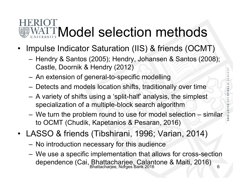# MATTModel selection methods

- Impulse Indicator Saturation (IIS) & friends (OCMT)
	- Hendry & Santos (2005); Hendry, Johansen & Santos (2008); Castle, Doornik & Hendry (2012)
	- An extension of general-to-specific modelling
	- Detects and models location shifts, traditionally over time
	- A variety of shifts using a 'split-half' analysis, the simplest specialization of a multiple-block search algorithm
	- We turn the problem round to use for model selection similar to OCMT (Chudik, Kapetanios & Pesaran, 2016)
- LASSO & friends (Tibshirani, 1996; Varian, 2014)
	- No introduction necessary for this audience
	- We use a specific implementation that allows for cross-section dependence (Cai, Bhattacharjee, Calantone & Maiti, 2016)<br>Bhattacharjee, Norges Bank 2016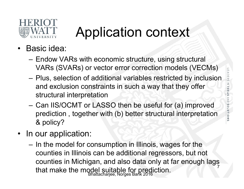

### Application context

- Basic idea:
	- Endow VARs with economic structure, using structural VARs (SVARs) or vector error correction models (VECMs)
	- Plus, selection of additional variables restricted by inclusion and exclusion constraints in such a way that they offer structural interpretation
	- Can IIS/OCMT or LASSO then be useful for (a) improved prediction , together with (b) better structural interpretation & policy?
- In our application:
	- In the model for consumption in Illinois, wages for the counties in Illinois can be additional regressors, but not counties in Michigan, and also data only at far enough lags that make the model suitable for prediction. 7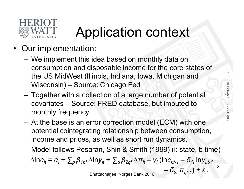

### Application context

- Our implementation:
	- We implement this idea based on monthly data on consumption and disposable income for the core states of the US MidWest (Illinois, Indiana, Iowa, Michigan and Wisconsin) – Source: Chicago Fed
	- Together with a collection of a large number of potential covariates – Source: FRED database, but imputed to monthly frequency
	- At the base is an error correction model (ECM) with one potential cointegrating relationship between consumption, income and prices, as well as short run dynamics.
	- Model follows Pesaran, Shin & Smith (1999) (i: state, t: time)

 $\Delta$ ln*c*<sub>it</sub> = *α*<sub>i</sub> +  $\sum_{p}$ β<sub>1pi</sub>  $\Delta$ lny<sub>it</sub> +  $\sum_{q}$ β<sub>2qi</sub>  $\Delta$ π<sub>it</sub> − γ<sub>i</sub> (ln*c*<sub>i,t-1</sub> − δ<sub>1i</sub> lny<sub>i,t-1</sub>

Bhattacharjee, Norges Bank 2016  $-\delta_{2i} \pi_{i,t-1}$ ) +  $\varepsilon_{it}$ 

8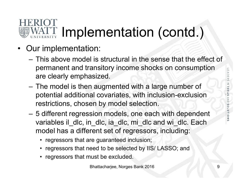# WATT Implementation (contd.)

- Our implementation:
	- This above model is structural in the sense that the effect of permanent and transitory income shocks on consumption are clearly emphasized.
	- The model is then augmented with a large number of potential additional covariates, with inclusion-exclusion restrictions, chosen by model selection.
	- 5 different regression models, one each with dependent variables il dlc, in dlc, ia dlc, mi dlc and wi dlc. Each model has a different set of regressors, including:
		- regressors that are guaranteed inclusion;
		- regressors that need to be selected by IIS/ LASSO; and
		- regressors that must be excluded.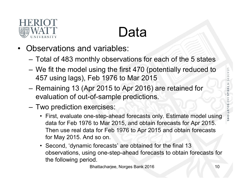

#### Data

- Observations and variables:
	- Total of 483 monthly observations for each of the 5 states
	- We fit the model using the first 470 (potentially reduced to 457 using lags), Feb 1976 to Mar 2015
	- Remaining 13 (Apr 2015 to Apr 2016) are retained for evaluation of out-of-sample predictions.
	- Two prediction exercises:
		- First, evaluate one-step-ahead forecasts only. Estimate model using data for Feb 1976 to Mar 2015, and obtain forecasts for Apr 2015. Then use real data for Feb 1976 to Apr 2015 and obtain forecasts for May 2015. And so on.
		- Second, 'dynamic forecasts' are obtained for the final 13 observations, using one-step-ahead forecasts to obtain forecasts for the following period.

Bhattacharjee, Norges Bank 2016 10 10 10 10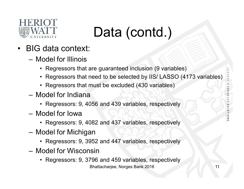

### Data (contd.)

- BIG data context:
	- Model for Illinois
		- Regressors that are guaranteed inclusion (9 variables)
		- Regressors that need to be selected by IIS/ LASSO (4173 variables)
		- Regressors that must be excluded (430 variables)
	- Model for Indiana
		- Regressors: 9, 4056 and 439 variables, respectively
	- Model for Iowa
		- Regressors: 9, 4082 and 437 variables, respectively
	- Model for Michigan
		- Regressors: 9, 3952 and 447 variables, respectively
	- Model for Wisconsin
		- Regressors: 9, 3796 and 459 variables, respectively Bhattacharjee, Norges Bank 2016 11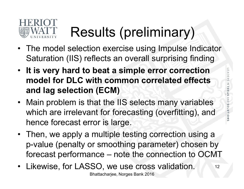

### Results (preliminary)

- The model selection exercise using Impulse Indicator Saturation (IIS) reflects an overall surprising finding
- **It is very hard to beat a simple error correction model for DLC with common correlated effects and lag selection (ECM)**
- Main problem is that the IIS selects many variables which are irrelevant for forecasting (overfitting), and hence forecast error is large.
- Then, we apply a multiple testing correction using a p-value (penalty or smoothing parameter) chosen by forecast performance – note the connection to OCMT
- Likewise, for LASSO, we use cross validation. Bhattacharjee, Norges Bank 2016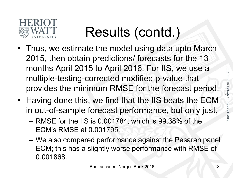

### Results (contd.)

- Thus, we estimate the model using data upto March 2015, then obtain predictions/ forecasts for the 13 months April 2015 to April 2016. For IIS, we use a multiple-testing-corrected modified p-value that provides the minimum RMSE for the forecast period.
- Having done this, we find that the IIS beats the ECM in out-of-sample forecast performance, but only just.
	- RMSE for the IIS is 0.001784, which is 99.38% of the ECM's RMSE at 0.001795.
	- We also compared performance against the Pesaran panel ECM; this has a slightly worse performance with RMSE of 0.001868.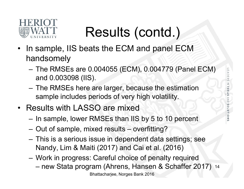

### Results (contd.)

- In sample, IIS beats the ECM and panel ECM handsomely
	- The RMSEs are 0.004055 (ECM), 0.004779 (Panel ECM) and 0.003098 (IIS).
	- The RMSEs here are larger, because the estimation sample includes periods of very high volatility.
- Results with LASSO are mixed
	- In sample, lower RMSEs than IIS by 5 to 10 percent
	- Out of sample, mixed results overfitting?
	- This is a serious issue in dependent data settings; see Nandy, Lim & Maiti (2017) and Cai et al. (2016)
	- Work in progress: Careful choice of penalty required – new Stata program (Ahrens, Hansen & Schaffer 2017) 14Bhattacharjee, Norges Bank 2016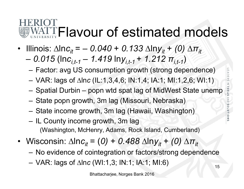## WATTFlavour of estimated models

- Illinois:  $\Delta \ln c_{it} = -0.040 + 0.133 \Delta \ln y_{it} + (0) \Delta \pi_{it}$ 
	- $-$  0.015 (lnc<sub>it-1</sub> 1.419 lny<sub>it-1</sub> + 1.212  $\pi$ <sub>it-1</sub>)
		- Factor: avg US consumption growth (strong dependence)
		- VAR: lags of ∆ln*c* (IL:1,3,4,6; IN:1,4; IA:1; MI:1,2,6; WI:1)
		- Spatial Durbin popn wtd spat lag of MidWest State unemp
		- State popn growth, 3m lag (Missouri, Nebraska)
		- State income growth, 3m lag (Hawaii, Washington)
		- IL County income growth, 3m lag (Washington, McHenry, Adams, Rock Island, Cumberland)
- Wisconsin:  $\Delta \ln c_{it} = (0) + 0.488 \Delta \ln y_{it} + (0) \Delta \pi_{it}$ 
	- No evidence of cointegration or factors/strong dependence
	- VAR: lags of ∆ln*c* (WI:1,3; IN:1; IA:1; MI:6)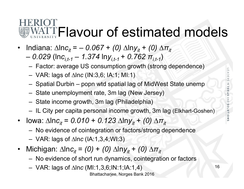## WATTFlavour of estimated models

- $Indiana: Δln*c<sub>it</sub>* = − 0.067 + (0) Δln*y<sub>it</sub>* + (0) Δ*π<sub>it</sub>*$ 
	- $-$  0.029 (lnc<sub>it-1</sub> 1.374 lny<sub>it-1</sub> + 0.762  $\pi$ <sub>it-1</sub>)
		- Factor: average US consumption growth (strong dependence)
		- VAR: lags of ∆ln*c* (IN:3,6; IA:1; MI:1)
		- Spatial Durbin popn wtd spatial lag of MidWest State unemp
		- State unemployment rate, 3m lag (New Jersey)
		- State income growth, 3m lag (Philadelphia)
		- IL City per capita personal income growth, 3m lag (Elkhart-Goshen)
- Iowa:  $\Delta$ ln*c*<sub>it</sub> = *0.010* + *0.123*  $\Delta$ lny<sub>it</sub> + *(0)*  $\Delta \pi_{it}$ 
	- No evidence of cointegration or factors/strong dependence
	- VAR: lags of ∆ln*c* (IA:1,3,4;WI:3)
- $Michigan: Δln*c<sub>it</sub>* = (0) + (0) Δln*y<sub>it</sub>* + (0) Δ*π<sub>it</sub>*$ 
	- No evidence of short run dynamics, cointegration or factors
	- VAR: lags of ∆ln*c* (MI:1,3,6;IN:1;IA:1,4)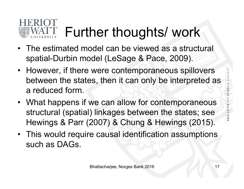# Further thoughts/ work

- The estimated model can be viewed as a structural spatial-Durbin model (LeSage & Pace, 2009).
- However, if there were contemporaneous spillovers between the states, then it can only be interpreted as a reduced form.
- What happens if we can allow for contemporaneous structural (spatial) linkages between the states; see Hewings & Parr (2007) & Chung & Hewings (2015).
- This would require causal identification assumptions such as DAGs.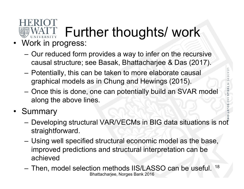#### Further thoughts/ work UNIVERSITY

- Work in progress:
	- Our reduced form provides a way to infer on the recursive causal structure; see Basak, Bhattacharjee & Das (2017).
	- Potentially, this can be taken to more elaborate causal graphical models as in Chung and Hewings (2015).
	- Once this is done, one can potentially build an SVAR model along the above lines.
- Summary
	- Developing structural VAR/VECMs in BIG data situations is not straightforward.
	- Using well specified structural economic model as the base, improved predictions and structural interpretation can be achieved
	- Then, model selection methods IIS/LASSO can be useful. Bhattacharjee, Norges Bank 2016 18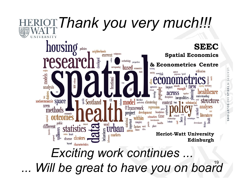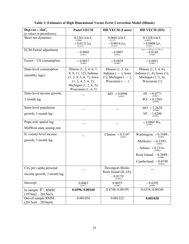| Dep.var.: $\Delta$ ln $C_t$                              | <b>Panel VECM</b>                                                                                                                  | <b>HD VECM (Lasso)</b>                                              | <b>HD VECM (IIS)</b>                                                         |
|----------------------------------------------------------|------------------------------------------------------------------------------------------------------------------------------------|---------------------------------------------------------------------|------------------------------------------------------------------------------|
| $(p$ -values in parentheses)                             |                                                                                                                                    |                                                                     |                                                                              |
| Short run dynamics                                       | $0.1261 \Delta \ln Y_t$ (0.000)                                                                                                    | $0.0601\Delta \ln Y_t$<br>(0.127)                                   | $0.1328 \Delta \ln Y_t$ (0.000)                                              |
|                                                          | $+0.0131\Delta\pi$<br>(0.412)                                                                                                      | $-0.0016 \Delta \pi_t$ <sub>(0.932)</sub>                           | $+0.0008\Delta\pi$<br>(0.961)                                                |
| <b>ECM</b> Partial adjustment                            | $-0.0005$<br>(0.683)                                                                                                               | $-0.0007$<br>(0.664)                                                | $(\ln C - 1.419 \ln Y + 1.292 \pi)$<br>$-0.0148$<br>(0.000)                  |
| Factor – US consumption                                  | $+0.0037$<br>(0.000)                                                                                                               | $+0.0039$<br>(0.000)                                                | $+0.0051$<br>(0.000)                                                         |
| State-level consumption                                  | Illinois $(1, 3, 4, 6, 7,$                                                                                                         | Illinois $(1, 3, 4)$ ;                                              | Illinois $(1, 3, 4, 6)$ ;                                                    |
| (monthly lags)                                           | 8, 9, 11, 12); Indiana<br>$(1, 2, 4, 5, 6, 7)$ ; Iowa<br>(1, 2, 4, 5, 6, 7);<br>Michigan $(1, 2, 4, 5)$ ;<br>Wisconsin $(1, 4, 5)$ | Indiana $(-)$ ; Iowa<br>$(1)$ ; Michigan $(-)$ ;<br>Wisconsin $(-)$ | Indiana $(1, 4)$ ; Iowa $(1)$ ;<br>Michigan $(1, 2, 6)$ ;<br>Wisconsin $(1)$ |
| State-level income growth,                               |                                                                                                                                    | $MD: +0.0998$<br>(0.002)                                            | $HI: + 0.0771$<br>(0.001)                                                    |
| 3 month lag                                              |                                                                                                                                    |                                                                     | $WA: + 0.1284$<br>(0.000)                                                    |
| State-level population                                   |                                                                                                                                    |                                                                     | $MO: +2.2620$<br>(0.000)                                                     |
| growth, 3 month lag                                      |                                                                                                                                    |                                                                     | $NE: -1.6200$<br>(0.001)                                                     |
| Popn.wtd. spatial lag:                                   |                                                                                                                                    |                                                                     | $+$ 0.0007 $W\!u_{\hskip.4pt t}$                                             |
| MidWest state unemp.rate                                 |                                                                                                                                    |                                                                     |                                                                              |
| IL county-level income                                   |                                                                                                                                    | Clinton: $+0.1147$<br>(0.007)                                       | Washington: $+0.1049$ ;<br>(0.000)                                           |
| growth, 3 month lag                                      |                                                                                                                                    |                                                                     | McHenry: $+0.2393$ ;<br>(0.000)                                              |
|                                                          |                                                                                                                                    |                                                                     | Adams: $+0.2314$ ;<br>(0.002)                                                |
|                                                          |                                                                                                                                    |                                                                     | Rock Island: $-0.3949$ ;<br>(0.000)                                          |
|                                                          |                                                                                                                                    |                                                                     | Cumberland: $-0.0740$<br>(0.003)                                             |
| City per capita personal                                 |                                                                                                                                    | Davenport-Molin-                                                    |                                                                              |
| income growth, 3 month lag                               |                                                                                                                                    | Rock Island (IL-IA):<br>$-0.0170$<br>(0.003)                        |                                                                              |
| Intercept                                                | 0.0063<br>(0.017)                                                                                                                  | 0.0055<br>(0.096)                                                   | $-0.0395$<br>(0.000)                                                         |
| In-sample $\overline{R}^2$ , RMSE<br>$(1976m2 - 2015m3)$ | 0.6596, 0.00160                                                                                                                    | 0.4748, 0.00199                                                     | 0.6334, 0.00166                                                              |
| Out-of-sample RMSE<br>$(2015m4 - 2016m4)$                | 0.001054                                                                                                                           | 0.001222                                                            | 0.001028                                                                     |

**Table 1: Estimates of High Dimensional Vector Error Correction Model (Illinois)**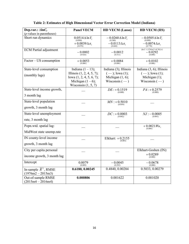| Dep.var.: $\Delta$ ln $C_t$               | <b>Panel VECM</b>                                          | <b>HD VECM (Lasso)</b>                  | <b>HD VECM (IIS)</b>                                                                           |
|-------------------------------------------|------------------------------------------------------------|-----------------------------------------|------------------------------------------------------------------------------------------------|
| $(p$ -values in parentheses)              |                                                            |                                         |                                                                                                |
| Short run dynamics                        | $0.0514 \Delta \ln Y_t$<br>(0.090)                         | $-0.0260 \Delta \ln Y$ ,<br>(0.386)     | $-0.0505 \Delta \ln Y_t$<br>(0.090)                                                            |
|                                           | $+ \, 0.0039 \, \Delta \pi_{t}$<br>(0.870)                 | $-0.0113\Delta\pi_t$<br>(0.660)         | $-0.0074 \Delta \pi_t$ <sub>(0.770)</sub>                                                      |
| <b>ECM</b> Partial adjustment             | $-0.0002$<br>(0.924)                                       | $-0.0012$<br>(0.511)                    | $(\ln C - 1.374 \ln Y + 0.762 \pi)$<br>$\displaystyle -0.0292\atop\scriptscriptstyle (0.000)}$ |
| Factor - US consumption                   | $+0.0053$<br>(0.000)                                       | $+0.0084$<br>(0.000)                    | $+0.0102$<br>(0.000)                                                                           |
| State-level consumption                   | Indiana $(1 – 13)$ ;                                       | Indiana (3); Illinois                   | Indiana $(3, 6)$ ; Illinois                                                                    |
| (monthly lags)                            | Illinois $(1, 2, 4, 5, 7)$ ;<br>Iowa $(1, 2, 4, 5, 6, 7);$ | $(-);$ Iowa (1);<br>Michigan $(1, 6)$ ; | $(-);$ Iowa (1);<br>Michigan $(1)$ ;                                                           |
|                                           | Michigan $(1-6)$ ;<br>Wisconsin $(1, 5, 7)$                | Wisconsin $(-)$                         | Wisconsin $(-)$                                                                                |
| State-level income growth,                |                                                            | $DE: +0.1519$<br>(0.000)                | $PA: +0.2579$<br>(0.000)                                                                       |
| 3 month lag                               |                                                            |                                         |                                                                                                |
| State-level population                    |                                                            | $MN: +0.5010$<br>(0.059)                |                                                                                                |
| growth, 3 month lag                       |                                                            |                                         |                                                                                                |
| State-level unemployment                  |                                                            | $DC: +0.0003$<br>(0.002)                | $NJ: -0.0005$<br>(0.001)                                                                       |
| rate, 3 month lag                         |                                                            |                                         |                                                                                                |
| Popn.wtd. spatial lag:                    |                                                            |                                         | $+ \underbrace{0.0021}_{(0.000)} Wu_t$                                                         |
| MidWest state unemp.rate                  |                                                            |                                         |                                                                                                |
| IN county-level income                    |                                                            | Elkhart: $+0.2155$<br>(0.001)           |                                                                                                |
| growth, 3 month lag                       |                                                            |                                         |                                                                                                |
| City per capita personal                  |                                                            |                                         | Elkhart-Goshen (IN):                                                                           |
| income growth, 3 month lag                |                                                            |                                         | $+0.0289$<br>(0.000)                                                                           |
| Intercept                                 | 0.0079<br>(0.009)                                          | $-0.0045$<br>(0.292)                    | $-0.0678$<br>(0.000)                                                                           |
| In-sample $\overline{R}^2$ , RMSE         | 0.6180, 0.00245                                            | 0.4840, 0.00284                         | 0.5033, 0.00279                                                                                |
| $(1976m2 - 2015m3)$                       |                                                            |                                         |                                                                                                |
| Out-of-sample RMSE<br>$(2015m4 - 2016m4)$ | 0.000806                                                   | 0.001622                                | 0.001020                                                                                       |

**Table 2: Estimates of High Dimensional Vector Error Correction Model (Indiana)**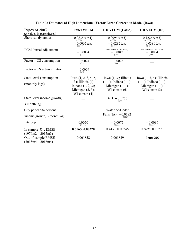| Dep.var.: $\Delta$ ln $C_t$                              | <b>Panel VECM</b>                                                                                                  | <b>HD VECM (Lasso)</b>                                                                   | <b>HD VECM (IIS)</b>                                                                         |
|----------------------------------------------------------|--------------------------------------------------------------------------------------------------------------------|------------------------------------------------------------------------------------------|----------------------------------------------------------------------------------------------|
| $(p$ -values in parentheses)                             |                                                                                                                    |                                                                                          |                                                                                              |
| Short run dynamics                                       | $0.0835 \Delta \ln Y_t$<br>(0.007)<br>$+0.0065 \Delta \pi$<br>(0.817)                                              | $0.0994 \Delta \ln Y_t$<br>(0.002)<br>$-0.0282 \Delta \pi$<br>(0.199)                    | $0.1226 \Delta \ln Y_t$<br>(0.000)<br>$-0.0380\Delta\pi$<br>(0.124)                          |
| <b>ECM</b> Partial adjustment                            | $-0.0004$<br>(0.825)                                                                                               | $(\ln C - 0.699 \ln Y + 3.022 \pi)$<br>$-0.0042$<br>(0.028)                              | $(\ln C - 0.461 \ln Y + 7.154 \pi)$<br>$-0.0034$<br>(0.067)                                  |
| Factor – US consumption                                  | $+0.0024$<br>(0.013)                                                                                               | $+0.0028$<br>(0.007)                                                                     |                                                                                              |
| Factor – US urban inflation                              | $-0.0009$<br>(0.024)                                                                                               |                                                                                          |                                                                                              |
| State-level consumption<br>(monthly lags)                | Iowa $(1, 2, 3, 4, 6,$<br>13); Illinois $(4)$ ;<br>Indiana $(1, 2, 3)$ ;<br>Michigan $(2, 5)$ ;<br>Wisconsin $(4)$ | Iowa $(1, 3)$ ; Illinois<br>$(-);$ Indiana $(-);$<br>Michigan $(-)$ ;<br>Wisconsin $(6)$ | Iowa $(1, 3, 4)$ ; Illinois<br>$(-)$ ; Indiana $(-)$ ;<br>Michigan $(-);$<br>Wisconsin $(3)$ |
| State-level income growth,<br>3 month lag                |                                                                                                                    | $MD: +0.1256$<br>(0.001)                                                                 |                                                                                              |
| City per capita personal<br>income growth, 3 month lag   |                                                                                                                    | Waterloo-Cedar<br>Falls (IA): $-0.0182$<br>(0.003)                                       |                                                                                              |
| Intercept                                                | 0.0050<br>(0.052)                                                                                                  | $+0.0075$<br>(0.006)                                                                     | $+0.0096$<br>(0.001)                                                                         |
| In-sample $\overline{R}^2$ , RMSE<br>$(1976m2 - 2015m3)$ | 0.5565, 0.00220                                                                                                    | 0.4433, 0.00246                                                                          | 0.3696, 0.00277                                                                              |
| Out-of-sample RMSE<br>$(2015m4 - 2016m4)$                | 0.001858                                                                                                           | 0.001829                                                                                 | 0.001765                                                                                     |

**Table 3: Estimates of High Dimensional Vector Error Correction Model (Iowa)**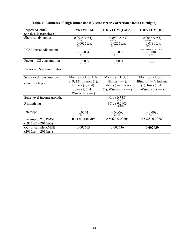| Dep.var.: $\Delta$ ln $C_t$       | <b>Panel VECM</b>                                 | <b>HD VECM</b> (Lasso)                  | <b>HD VECM (IIS)</b>                                        |
|-----------------------------------|---------------------------------------------------|-----------------------------------------|-------------------------------------------------------------|
| $(p$ -values in parentheses)      |                                                   |                                         |                                                             |
| Short run dynamics                | $0.0935 \Delta \ln Y_t$ (0.030)                   | $-0.0501 \Delta \ln Y_t$ (0.250)        | $0.0056 \Delta \ln Y_t$ (0.891)                             |
|                                   | $-0.0025 \Delta \pi$<br>(0.362)                   | + $0.0225 \Delta \pi_t$<br>(0.704)      | + $0.0180 \Delta \pi_t$<br>(0.754)                          |
| <b>ECM</b> Partial adjustment     | $+0.0004$<br>(0.908)                              | $-0.0003$<br>(0.924)                    | $(\ln C - 0.689 \ln Y + 7.267 \pi)$<br>$-0.0045$<br>(0.065) |
| Factor – US consumption           | $+0.0097$<br>(0.006)                              | $+0.0064$<br>(0.101)                    |                                                             |
| Factor - US urban inflation       |                                                   |                                         |                                                             |
| State-level consumption           | Michigan (1, 3, 4, 6,                             | Michigan $(1, 3, 6)$ ;                  | Michigan $(1, 3, 6)$ ;                                      |
| (monthly lags)                    | 8, 9, 12); Illinois (1);<br>Indiana $(1, 2, 4)$ ; | Illinois $(-);$<br>Indiana $(-)$ ; Iowa | Illinois $(-)$ ; Indiana<br>$(1)$ ; Iowa $(1, 4)$ ;         |
|                                   | Iowa $(1, 2, 4)$ ;<br>Wisconsin $(-)$             | $(1)$ ; Wisconsin $(-)$                 | Wisconsin $(-)$                                             |
| State-level income growth,        |                                                   | $VA: + 0.3381$<br>(0.022)               |                                                             |
| 3 month lag                       |                                                   | $VT: +0.2903$<br>(0.005)                |                                                             |
| Intercept                         | 0.0144<br>(0.074)                                 | $+0.0063$<br>(0.480)                    | $+0.0080$<br>(0.348)                                        |
| In-sample $\overline{R}^2$ , RMSE | 0.6121, 0.00709                                   | 0.5067, 0.00804                         | 0.5328, 0.00783                                             |
| $(1976m2 - 2015m3)$               |                                                   |                                         |                                                             |
| Out-of-sample RMSE                | 0.002663                                          | 0.002736                                | 0.002639                                                    |
| $(2015m4 - 2016m4)$               |                                                   |                                         |                                                             |

**Table 4: Estimates of High Dimensional Vector Error Correction Model (Michigan)**